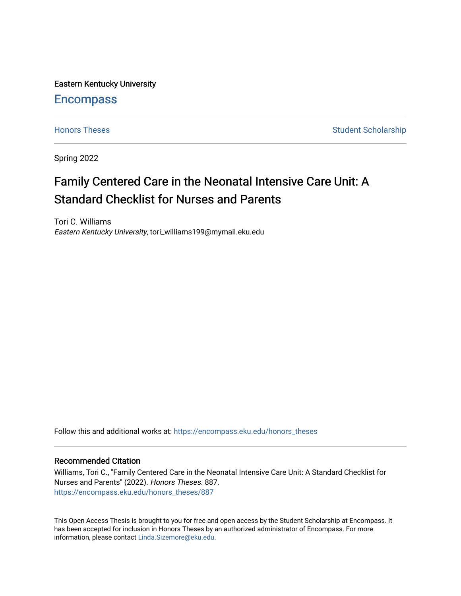Eastern Kentucky University

# **Encompass**

[Honors Theses](https://encompass.eku.edu/honors_theses) **Student Scholarship** Student Scholarship

Spring 2022

# Family Centered Care in the Neonatal Intensive Care Unit: A Standard Checklist for Nurses and Parents

Tori C. Williams Eastern Kentucky University, tori\_williams199@mymail.eku.edu

Follow this and additional works at: [https://encompass.eku.edu/honors\\_theses](https://encompass.eku.edu/honors_theses?utm_source=encompass.eku.edu%2Fhonors_theses%2F887&utm_medium=PDF&utm_campaign=PDFCoverPages) 

## Recommended Citation

Williams, Tori C., "Family Centered Care in the Neonatal Intensive Care Unit: A Standard Checklist for Nurses and Parents" (2022). Honors Theses. 887. [https://encompass.eku.edu/honors\\_theses/887](https://encompass.eku.edu/honors_theses/887?utm_source=encompass.eku.edu%2Fhonors_theses%2F887&utm_medium=PDF&utm_campaign=PDFCoverPages) 

This Open Access Thesis is brought to you for free and open access by the Student Scholarship at Encompass. It has been accepted for inclusion in Honors Theses by an authorized administrator of Encompass. For more information, please contact [Linda.Sizemore@eku.edu.](mailto:Linda.Sizemore@eku.edu)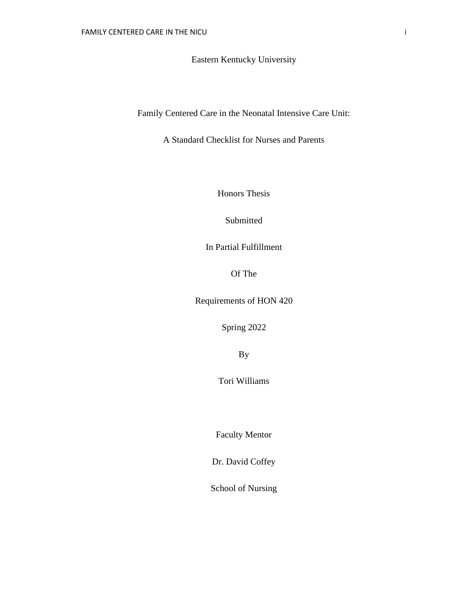Eastern Kentucky University

Family Centered Care in the Neonatal Intensive Care Unit:

A Standard Checklist for Nurses and Parents

Honors Thesis

Submitted

In Partial Fulfillment

Of The

Requirements of HON 420

Spring 2022

By

Tori Williams

Faculty Mentor

Dr. David Coffey

School of Nursing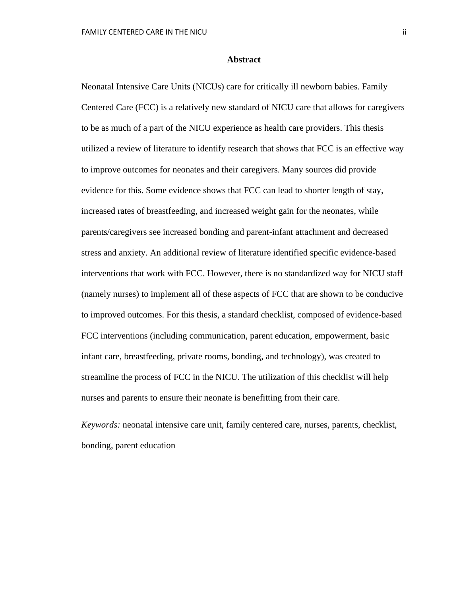#### **Abstract**

Neonatal Intensive Care Units (NICUs) care for critically ill newborn babies. Family Centered Care (FCC) is a relatively new standard of NICU care that allows for caregivers to be as much of a part of the NICU experience as health care providers. This thesis utilized a review of literature to identify research that shows that FCC is an effective way to improve outcomes for neonates and their caregivers. Many sources did provide evidence for this. Some evidence shows that FCC can lead to shorter length of stay, increased rates of breastfeeding, and increased weight gain for the neonates, while parents/caregivers see increased bonding and parent-infant attachment and decreased stress and anxiety. An additional review of literature identified specific evidence-based interventions that work with FCC. However, there is no standardized way for NICU staff (namely nurses) to implement all of these aspects of FCC that are shown to be conducive to improved outcomes. For this thesis, a standard checklist, composed of evidence-based FCC interventions (including communication, parent education, empowerment, basic infant care, breastfeeding, private rooms, bonding, and technology), was created to streamline the process of FCC in the NICU. The utilization of this checklist will help nurses and parents to ensure their neonate is benefitting from their care.

*Keywords:* neonatal intensive care unit, family centered care, nurses, parents, checklist, bonding, parent education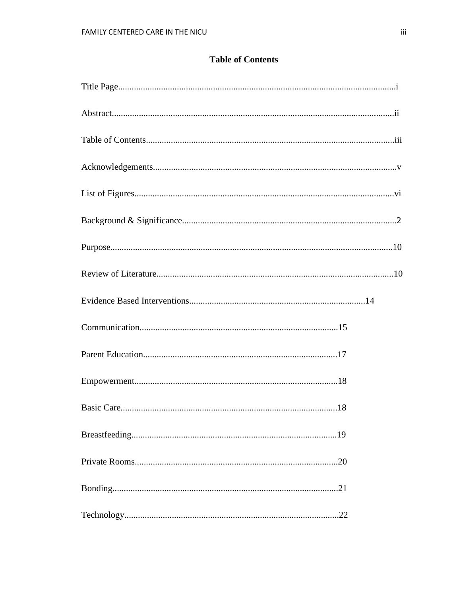# **Table of Contents**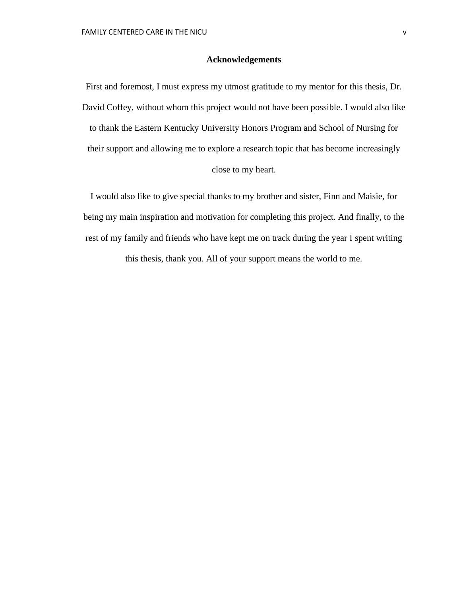#### **Acknowledgements**

First and foremost, I must express my utmost gratitude to my mentor for this thesis, Dr. David Coffey, without whom this project would not have been possible. I would also like to thank the Eastern Kentucky University Honors Program and School of Nursing for their support and allowing me to explore a research topic that has become increasingly

close to my heart.

I would also like to give special thanks to my brother and sister, Finn and Maisie, for being my main inspiration and motivation for completing this project. And finally, to the rest of my family and friends who have kept me on track during the year I spent writing this thesis, thank you. All of your support means the world to me.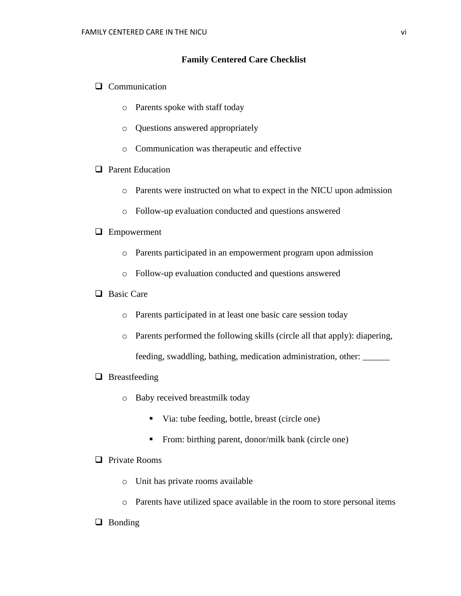### **Family Centered Care Checklist**

- ❑ Communication
	- o Parents spoke with staff today
	- o Questions answered appropriately
	- o Communication was therapeutic and effective

# ❑ Parent Education

- o Parents were instructed on what to expect in the NICU upon admission
- o Follow-up evaluation conducted and questions answered

# ❑ Empowerment

- o Parents participated in an empowerment program upon admission
- o Follow-up evaluation conducted and questions answered

# ❑ Basic Care

- o Parents participated in at least one basic care session today
- o Parents performed the following skills (circle all that apply): diapering, feeding, swaddling, bathing, medication administration, other: \_\_\_\_\_\_

#### ❑ Breastfeeding

- o Baby received breastmilk today
	- Via: tube feeding, bottle, breast (circle one)
	- **•** From: birthing parent, donor/milk bank (circle one)

# ❑ Private Rooms

- o Unit has private rooms available
- o Parents have utilized space available in the room to store personal items
- ❑ Bonding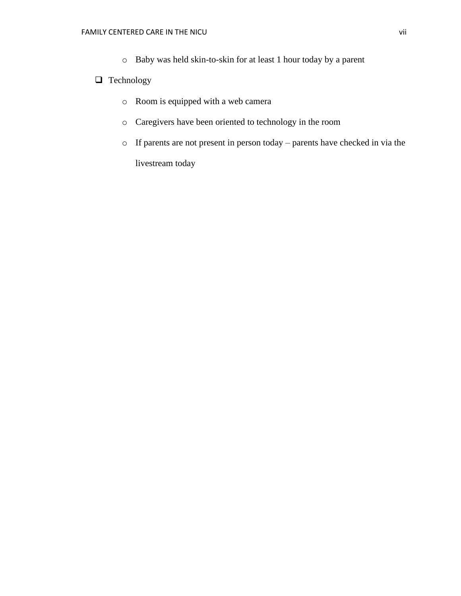o Baby was held skin-to-skin for at least 1 hour today by a parent

# ❑ Technology

- o Room is equipped with a web camera
- o Caregivers have been oriented to technology in the room
- o If parents are not present in person today parents have checked in via the livestream today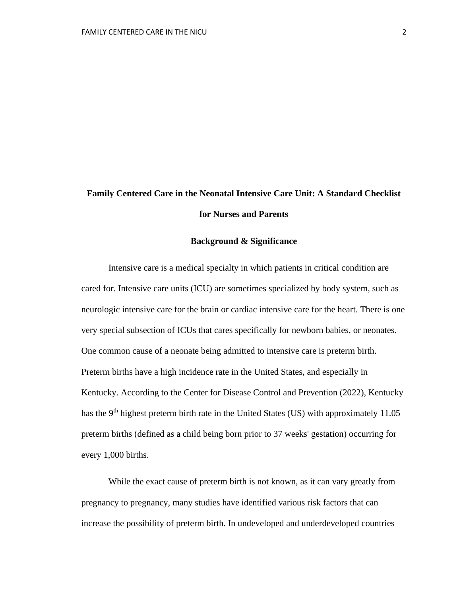# **Family Centered Care in the Neonatal Intensive Care Unit: A Standard Checklist for Nurses and Parents**

#### **Background & Significance**

Intensive care is a medical specialty in which patients in critical condition are cared for. Intensive care units (ICU) are sometimes specialized by body system, such as neurologic intensive care for the brain or cardiac intensive care for the heart. There is one very special subsection of ICUs that cares specifically for newborn babies, or neonates. One common cause of a neonate being admitted to intensive care is preterm birth. Preterm births have a high incidence rate in the United States, and especially in Kentucky. According to the Center for Disease Control and Prevention (2022), Kentucky has the 9<sup>th</sup> highest preterm birth rate in the United States (US) with approximately 11.05 preterm births (defined as a child being born prior to 37 weeks' gestation) occurring for every 1,000 births.

While the exact cause of preterm birth is not known, as it can vary greatly from pregnancy to pregnancy, many studies have identified various risk factors that can increase the possibility of preterm birth. In undeveloped and underdeveloped countries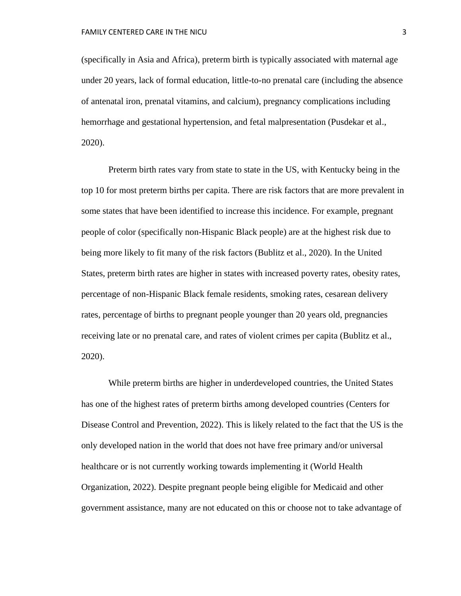(specifically in Asia and Africa), preterm birth is typically associated with maternal age under 20 years, lack of formal education, little-to-no prenatal care (including the absence of antenatal iron, prenatal vitamins, and calcium), pregnancy complications including hemorrhage and gestational hypertension, and fetal malpresentation (Pusdekar et al., 2020).

Preterm birth rates vary from state to state in the US, with Kentucky being in the top 10 for most preterm births per capita. There are risk factors that are more prevalent in some states that have been identified to increase this incidence. For example, pregnant people of color (specifically non-Hispanic Black people) are at the highest risk due to being more likely to fit many of the risk factors (Bublitz et al., 2020). In the United States, preterm birth rates are higher in states with increased poverty rates, obesity rates, percentage of non-Hispanic Black female residents, smoking rates, cesarean delivery rates, percentage of births to pregnant people younger than 20 years old, pregnancies receiving late or no prenatal care, and rates of violent crimes per capita (Bublitz et al., 2020).

While preterm births are higher in underdeveloped countries, the United States has one of the highest rates of preterm births among developed countries (Centers for Disease Control and Prevention, 2022). This is likely related to the fact that the US is the only developed nation in the world that does not have free primary and/or universal healthcare or is not currently working towards implementing it (World Health Organization, 2022). Despite pregnant people being eligible for Medicaid and other government assistance, many are not educated on this or choose not to take advantage of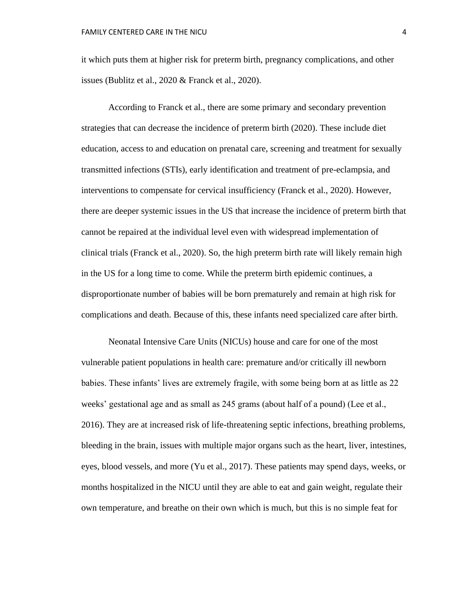it which puts them at higher risk for preterm birth, pregnancy complications, and other issues (Bublitz et al., 2020 & Franck et al., 2020).

According to Franck et al., there are some primary and secondary prevention strategies that can decrease the incidence of preterm birth (2020). These include diet education, access to and education on prenatal care, screening and treatment for sexually transmitted infections (STIs), early identification and treatment of pre-eclampsia, and interventions to compensate for cervical insufficiency (Franck et al., 2020). However, there are deeper systemic issues in the US that increase the incidence of preterm birth that cannot be repaired at the individual level even with widespread implementation of clinical trials (Franck et al., 2020). So, the high preterm birth rate will likely remain high in the US for a long time to come. While the preterm birth epidemic continues, a disproportionate number of babies will be born prematurely and remain at high risk for complications and death. Because of this, these infants need specialized care after birth.

Neonatal Intensive Care Units (NICUs) house and care for one of the most vulnerable patient populations in health care: premature and/or critically ill newborn babies. These infants' lives are extremely fragile, with some being born at as little as 22 weeks' gestational age and as small as 245 grams (about half of a pound) (Lee et al., 2016). They are at increased risk of life-threatening septic infections, breathing problems, bleeding in the brain, issues with multiple major organs such as the heart, liver, intestines, eyes, blood vessels, and more (Yu et al., 2017). These patients may spend days, weeks, or months hospitalized in the NICU until they are able to eat and gain weight, regulate their own temperature, and breathe on their own which is much, but this is no simple feat for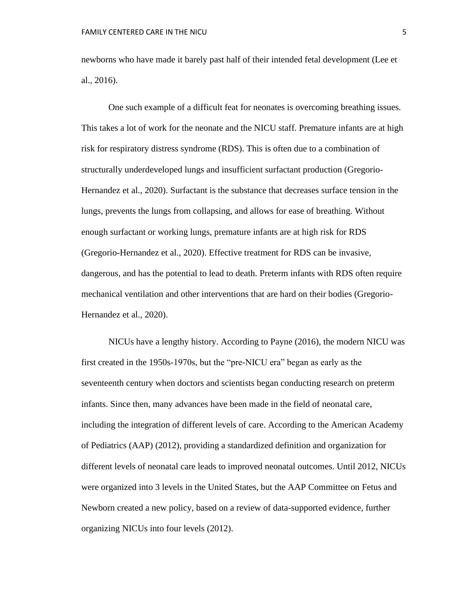newborns who have made it barely past half of their intended fetal development (Lee et al., 2016).

One such example of a difficult feat for neonates is overcoming breathing issues. This takes a lot of work for the neonate and the NICU staff. Premature infants are at high risk for respiratory distress syndrome (RDS). This is often due to a combination of structurally underdeveloped lungs and insufficient surfactant production (Gregorio-Hernandez et al., 2020). Surfactant is the substance that decreases surface tension in the lungs, prevents the lungs from collapsing, and allows for ease of breathing. Without enough surfactant or working lungs, premature infants are at high risk for RDS (Gregorio-Hernandez et al., 2020). Effective treatment for RDS can be invasive, dangerous, and has the potential to lead to death. Preterm infants with RDS often require mechanical ventilation and other interventions that are hard on their bodies (Gregorio-Hernandez et al., 2020).

NICUs have a lengthy history. According to Payne (2016), the modern NICU was first created in the 1950s-1970s, but the "pre-NICU era" began as early as the seventeenth century when doctors and scientists began conducting research on preterm infants. Since then, many advances have been made in the field of neonatal care, including the integration of different levels of care. According to the American Academy of Pediatrics (AAP) (2012), providing a standardized definition and organization for different levels of neonatal care leads to improved neonatal outcomes. Until 2012, NICUs were organized into 3 levels in the United States, but the AAP Committee on Fetus and Newborn created a new policy, based on a review of data-supported evidence, further organizing NICUs into four levels (2012).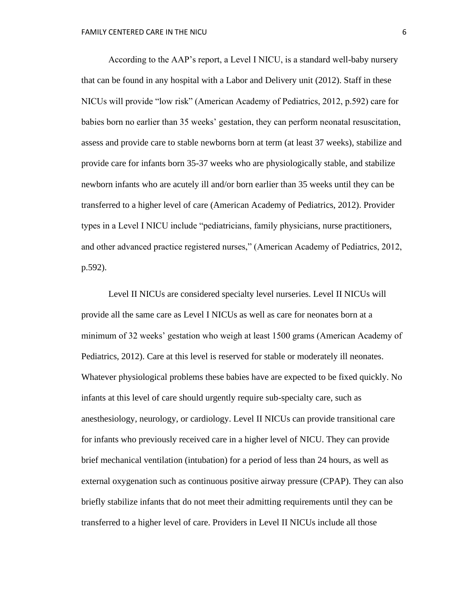According to the AAP's report, a Level I NICU, is a standard well-baby nursery that can be found in any hospital with a Labor and Delivery unit (2012). Staff in these NICUs will provide "low risk" (American Academy of Pediatrics, 2012, p.592) care for babies born no earlier than 35 weeks' gestation, they can perform neonatal resuscitation, assess and provide care to stable newborns born at term (at least 37 weeks), stabilize and provide care for infants born 35-37 weeks who are physiologically stable, and stabilize newborn infants who are acutely ill and/or born earlier than 35 weeks until they can be transferred to a higher level of care (American Academy of Pediatrics, 2012). Provider types in a Level I NICU include "pediatricians, family physicians, nurse practitioners, and other advanced practice registered nurses," (American Academy of Pediatrics, 2012, p.592).

Level II NICUs are considered specialty level nurseries. Level II NICUs will provide all the same care as Level I NICUs as well as care for neonates born at a minimum of 32 weeks' gestation who weigh at least 1500 grams (American Academy of Pediatrics, 2012). Care at this level is reserved for stable or moderately ill neonates. Whatever physiological problems these babies have are expected to be fixed quickly. No infants at this level of care should urgently require sub-specialty care, such as anesthesiology, neurology, or cardiology. Level II NICUs can provide transitional care for infants who previously received care in a higher level of NICU. They can provide brief mechanical ventilation (intubation) for a period of less than 24 hours, as well as external oxygenation such as continuous positive airway pressure (CPAP). They can also briefly stabilize infants that do not meet their admitting requirements until they can be transferred to a higher level of care. Providers in Level II NICUs include all those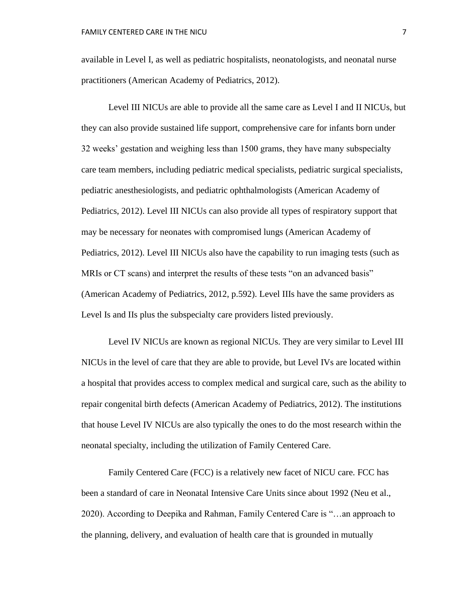available in Level I, as well as pediatric hospitalists, neonatologists, and neonatal nurse practitioners (American Academy of Pediatrics, 2012).

Level III NICUs are able to provide all the same care as Level I and II NICUs, but they can also provide sustained life support, comprehensive care for infants born under 32 weeks' gestation and weighing less than 1500 grams, they have many subspecialty care team members, including pediatric medical specialists, pediatric surgical specialists, pediatric anesthesiologists, and pediatric ophthalmologists (American Academy of Pediatrics, 2012). Level III NICUs can also provide all types of respiratory support that may be necessary for neonates with compromised lungs (American Academy of Pediatrics, 2012). Level III NICUs also have the capability to run imaging tests (such as MRIs or CT scans) and interpret the results of these tests "on an advanced basis" (American Academy of Pediatrics, 2012, p.592). Level IIIs have the same providers as Level Is and IIs plus the subspecialty care providers listed previously.

Level IV NICUs are known as regional NICUs. They are very similar to Level III NICUs in the level of care that they are able to provide, but Level IVs are located within a hospital that provides access to complex medical and surgical care, such as the ability to repair congenital birth defects (American Academy of Pediatrics, 2012). The institutions that house Level IV NICUs are also typically the ones to do the most research within the neonatal specialty, including the utilization of Family Centered Care.

Family Centered Care (FCC) is a relatively new facet of NICU care. FCC has been a standard of care in Neonatal Intensive Care Units since about 1992 (Neu et al., 2020). According to Deepika and Rahman, Family Centered Care is "…an approach to the planning, delivery, and evaluation of health care that is grounded in mutually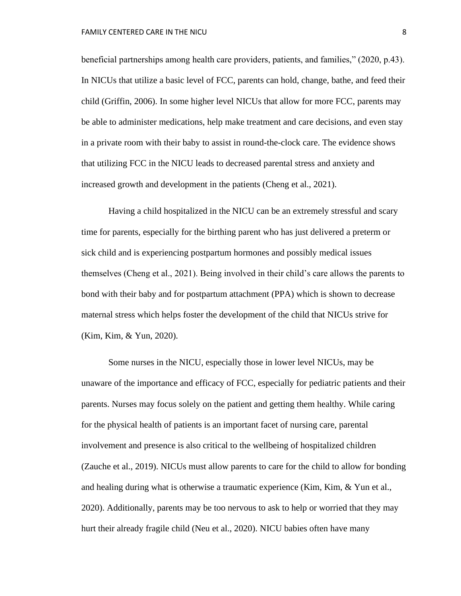beneficial partnerships among health care providers, patients, and families," (2020, p.43). In NICUs that utilize a basic level of FCC, parents can hold, change, bathe, and feed their child (Griffin, 2006). In some higher level NICUs that allow for more FCC, parents may be able to administer medications, help make treatment and care decisions, and even stay in a private room with their baby to assist in round-the-clock care. The evidence shows that utilizing FCC in the NICU leads to decreased parental stress and anxiety and increased growth and development in the patients (Cheng et al., 2021).

Having a child hospitalized in the NICU can be an extremely stressful and scary time for parents, especially for the birthing parent who has just delivered a preterm or sick child and is experiencing postpartum hormones and possibly medical issues themselves (Cheng et al., 2021). Being involved in their child's care allows the parents to bond with their baby and for postpartum attachment (PPA) which is shown to decrease maternal stress which helps foster the development of the child that NICUs strive for (Kim, Kim, & Yun, 2020).

Some nurses in the NICU, especially those in lower level NICUs, may be unaware of the importance and efficacy of FCC, especially for pediatric patients and their parents. Nurses may focus solely on the patient and getting them healthy. While caring for the physical health of patients is an important facet of nursing care, parental involvement and presence is also critical to the wellbeing of hospitalized children (Zauche et al., 2019). NICUs must allow parents to care for the child to allow for bonding and healing during what is otherwise a traumatic experience (Kim, Kim, & Yun et al., 2020). Additionally, parents may be too nervous to ask to help or worried that they may hurt their already fragile child (Neu et al., 2020). NICU babies often have many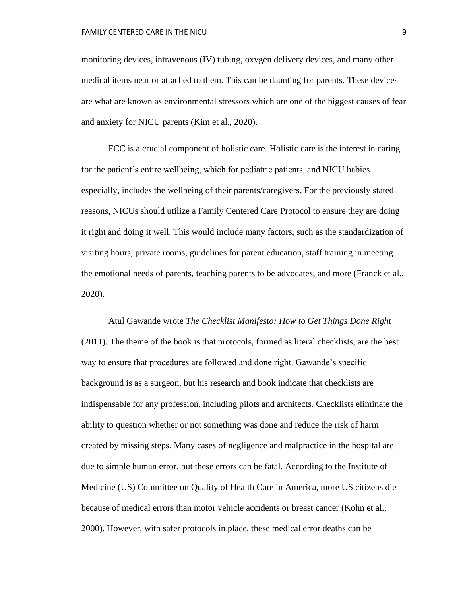monitoring devices, intravenous (IV) tubing, oxygen delivery devices, and many other medical items near or attached to them. This can be daunting for parents. These devices are what are known as environmental stressors which are one of the biggest causes of fear and anxiety for NICU parents (Kim et al., 2020).

FCC is a crucial component of holistic care. Holistic care is the interest in caring for the patient's entire wellbeing, which for pediatric patients, and NICU babies especially, includes the wellbeing of their parents/caregivers. For the previously stated reasons, NICUs should utilize a Family Centered Care Protocol to ensure they are doing it right and doing it well. This would include many factors, such as the standardization of visiting hours, private rooms, guidelines for parent education, staff training in meeting the emotional needs of parents, teaching parents to be advocates, and more (Franck et al., 2020).

Atul Gawande wrote *The Checklist Manifesto: How to Get Things Done Right*  (2011). The theme of the book is that protocols, formed as literal checklists, are the best way to ensure that procedures are followed and done right. Gawande's specific background is as a surgeon, but his research and book indicate that checklists are indispensable for any profession, including pilots and architects. Checklists eliminate the ability to question whether or not something was done and reduce the risk of harm created by missing steps. Many cases of negligence and malpractice in the hospital are due to simple human error, but these errors can be fatal. According to the Institute of Medicine (US) Committee on Quality of Health Care in America, more US citizens die because of medical errors than motor vehicle accidents or breast cancer (Kohn et al., 2000). However, with safer protocols in place, these medical error deaths can be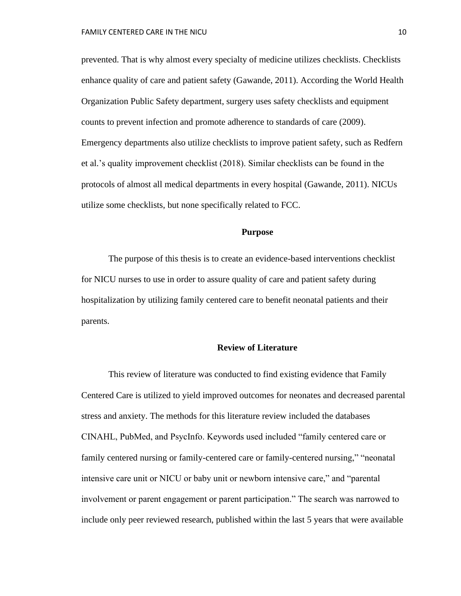prevented. That is why almost every specialty of medicine utilizes checklists. Checklists enhance quality of care and patient safety (Gawande, 2011). According the World Health Organization Public Safety department, surgery uses safety checklists and equipment counts to prevent infection and promote adherence to standards of care (2009). Emergency departments also utilize checklists to improve patient safety, such as Redfern et al.'s quality improvement checklist (2018). Similar checklists can be found in the protocols of almost all medical departments in every hospital (Gawande, 2011). NICUs utilize some checklists, but none specifically related to FCC.

### **Purpose**

The purpose of this thesis is to create an evidence-based interventions checklist for NICU nurses to use in order to assure quality of care and patient safety during hospitalization by utilizing family centered care to benefit neonatal patients and their parents.

#### **Review of Literature**

This review of literature was conducted to find existing evidence that Family Centered Care is utilized to yield improved outcomes for neonates and decreased parental stress and anxiety. The methods for this literature review included the databases CINAHL, PubMed, and PsycInfo. Keywords used included "family centered care or family centered nursing or family-centered care or family-centered nursing," "neonatal intensive care unit or NICU or baby unit or newborn intensive care," and "parental involvement or parent engagement or parent participation." The search was narrowed to include only peer reviewed research, published within the last 5 years that were available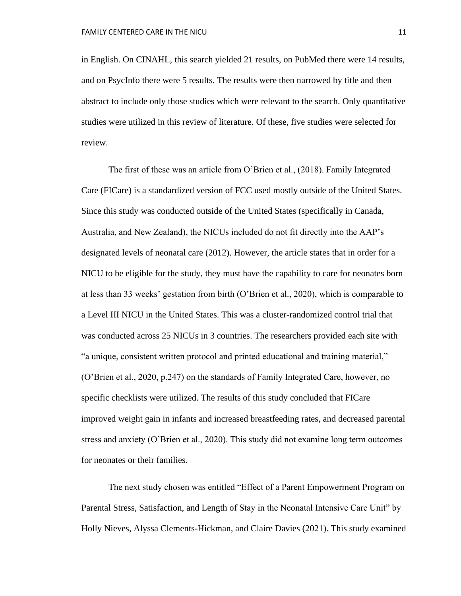in English. On CINAHL, this search yielded 21 results, on PubMed there were 14 results, and on PsycInfo there were 5 results. The results were then narrowed by title and then abstract to include only those studies which were relevant to the search. Only quantitative studies were utilized in this review of literature. Of these, five studies were selected for review.

The first of these was an article from O'Brien et al., (2018). Family Integrated Care (FICare) is a standardized version of FCC used mostly outside of the United States. Since this study was conducted outside of the United States (specifically in Canada, Australia, and New Zealand), the NICUs included do not fit directly into the AAP's designated levels of neonatal care (2012). However, the article states that in order for a NICU to be eligible for the study, they must have the capability to care for neonates born at less than 33 weeks' gestation from birth (O'Brien et al., 2020), which is comparable to a Level III NICU in the United States. This was a cluster-randomized control trial that was conducted across 25 NICUs in 3 countries. The researchers provided each site with "a unique, consistent written protocol and printed educational and training material," (O'Brien et al., 2020, p.247) on the standards of Family Integrated Care, however, no specific checklists were utilized. The results of this study concluded that FICare improved weight gain in infants and increased breastfeeding rates, and decreased parental stress and anxiety (O'Brien et al., 2020). This study did not examine long term outcomes for neonates or their families.

The next study chosen was entitled "Effect of a Parent Empowerment Program on Parental Stress, Satisfaction, and Length of Stay in the Neonatal Intensive Care Unit" by Holly Nieves, Alyssa Clements-Hickman, and Claire Davies (2021). This study examined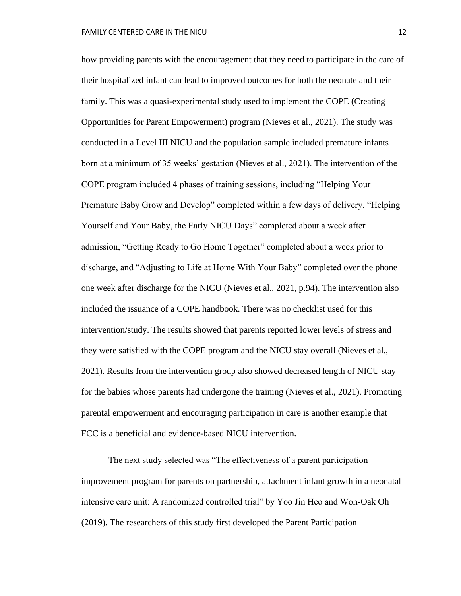how providing parents with the encouragement that they need to participate in the care of their hospitalized infant can lead to improved outcomes for both the neonate and their family. This was a quasi-experimental study used to implement the COPE (Creating Opportunities for Parent Empowerment) program (Nieves et al., 2021). The study was conducted in a Level III NICU and the population sample included premature infants born at a minimum of 35 weeks' gestation (Nieves et al., 2021). The intervention of the COPE program included 4 phases of training sessions, including "Helping Your Premature Baby Grow and Develop" completed within a few days of delivery, "Helping Yourself and Your Baby, the Early NICU Days" completed about a week after admission, "Getting Ready to Go Home Together" completed about a week prior to discharge, and "Adjusting to Life at Home With Your Baby" completed over the phone one week after discharge for the NICU (Nieves et al., 2021, p.94). The intervention also included the issuance of a COPE handbook. There was no checklist used for this intervention/study. The results showed that parents reported lower levels of stress and they were satisfied with the COPE program and the NICU stay overall (Nieves et al., 2021). Results from the intervention group also showed decreased length of NICU stay for the babies whose parents had undergone the training (Nieves et al., 2021). Promoting parental empowerment and encouraging participation in care is another example that FCC is a beneficial and evidence-based NICU intervention.

The next study selected was "The effectiveness of a parent participation improvement program for parents on partnership, attachment infant growth in a neonatal intensive care unit: A randomized controlled trial" by Yoo Jin Heo and Won-Oak Oh (2019). The researchers of this study first developed the Parent Participation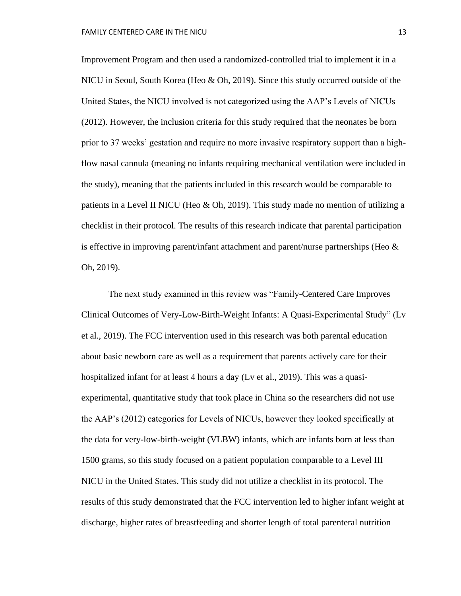Improvement Program and then used a randomized-controlled trial to implement it in a NICU in Seoul, South Korea (Heo & Oh, 2019). Since this study occurred outside of the United States, the NICU involved is not categorized using the AAP's Levels of NICUs (2012). However, the inclusion criteria for this study required that the neonates be born prior to 37 weeks' gestation and require no more invasive respiratory support than a highflow nasal cannula (meaning no infants requiring mechanical ventilation were included in the study), meaning that the patients included in this research would be comparable to patients in a Level II NICU (Heo  $& Oh$ , 2019). This study made no mention of utilizing a checklist in their protocol. The results of this research indicate that parental participation is effective in improving parent/infant attachment and parent/nurse partnerships (Heo  $\&$ Oh, 2019).

The next study examined in this review was "Family-Centered Care Improves Clinical Outcomes of Very-Low-Birth-Weight Infants: A Quasi-Experimental Study" (Lv et al., 2019). The FCC intervention used in this research was both parental education about basic newborn care as well as a requirement that parents actively care for their hospitalized infant for at least 4 hours a day (Lv et al., 2019). This was a quasiexperimental, quantitative study that took place in China so the researchers did not use the AAP's (2012) categories for Levels of NICUs, however they looked specifically at the data for very-low-birth-weight (VLBW) infants, which are infants born at less than 1500 grams, so this study focused on a patient population comparable to a Level III NICU in the United States. This study did not utilize a checklist in its protocol. The results of this study demonstrated that the FCC intervention led to higher infant weight at discharge, higher rates of breastfeeding and shorter length of total parenteral nutrition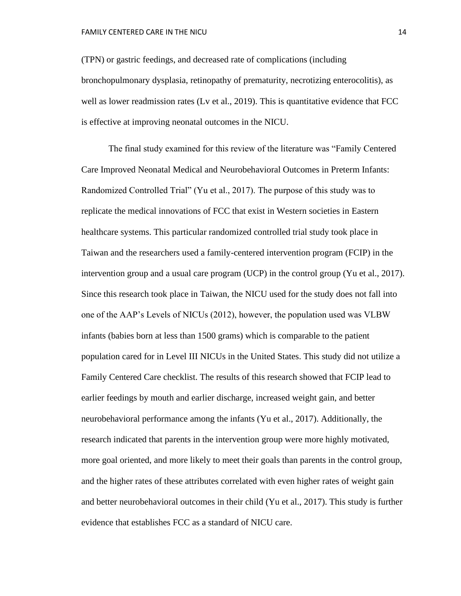(TPN) or gastric feedings, and decreased rate of complications (including bronchopulmonary dysplasia, retinopathy of prematurity, necrotizing enterocolitis), as well as lower readmission rates (Ly et al., 2019). This is quantitative evidence that FCC is effective at improving neonatal outcomes in the NICU.

The final study examined for this review of the literature was "Family Centered Care Improved Neonatal Medical and Neurobehavioral Outcomes in Preterm Infants: Randomized Controlled Trial" (Yu et al., 2017). The purpose of this study was to replicate the medical innovations of FCC that exist in Western societies in Eastern healthcare systems. This particular randomized controlled trial study took place in Taiwan and the researchers used a family-centered intervention program (FCIP) in the intervention group and a usual care program (UCP) in the control group (Yu et al., 2017). Since this research took place in Taiwan, the NICU used for the study does not fall into one of the AAP's Levels of NICUs (2012), however, the population used was VLBW infants (babies born at less than 1500 grams) which is comparable to the patient population cared for in Level III NICUs in the United States. This study did not utilize a Family Centered Care checklist. The results of this research showed that FCIP lead to earlier feedings by mouth and earlier discharge, increased weight gain, and better neurobehavioral performance among the infants (Yu et al., 2017). Additionally, the research indicated that parents in the intervention group were more highly motivated, more goal oriented, and more likely to meet their goals than parents in the control group, and the higher rates of these attributes correlated with even higher rates of weight gain and better neurobehavioral outcomes in their child (Yu et al., 2017). This study is further evidence that establishes FCC as a standard of NICU care.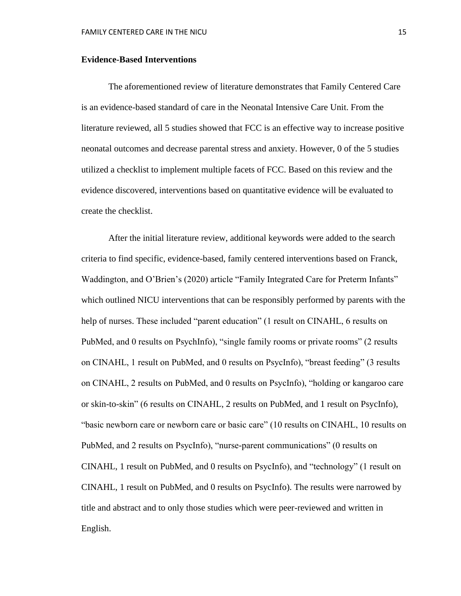#### **Evidence-Based Interventions**

The aforementioned review of literature demonstrates that Family Centered Care is an evidence-based standard of care in the Neonatal Intensive Care Unit. From the literature reviewed, all 5 studies showed that FCC is an effective way to increase positive neonatal outcomes and decrease parental stress and anxiety. However, 0 of the 5 studies utilized a checklist to implement multiple facets of FCC. Based on this review and the evidence discovered, interventions based on quantitative evidence will be evaluated to create the checklist.

After the initial literature review, additional keywords were added to the search criteria to find specific, evidence-based, family centered interventions based on Franck, Waddington, and O'Brien's (2020) article "Family Integrated Care for Preterm Infants" which outlined NICU interventions that can be responsibly performed by parents with the help of nurses. These included "parent education" (1 result on CINAHL, 6 results on PubMed, and 0 results on PsychInfo), "single family rooms or private rooms" (2 results on CINAHL, 1 result on PubMed, and 0 results on PsycInfo), "breast feeding" (3 results on CINAHL, 2 results on PubMed, and 0 results on PsycInfo), "holding or kangaroo care or skin-to-skin" (6 results on CINAHL, 2 results on PubMed, and 1 result on PsycInfo), "basic newborn care or newborn care or basic care" (10 results on CINAHL, 10 results on PubMed, and 2 results on PsycInfo), "nurse-parent communications" (0 results on CINAHL, 1 result on PubMed, and 0 results on PsycInfo), and "technology" (1 result on CINAHL, 1 result on PubMed, and 0 results on PsycInfo). The results were narrowed by title and abstract and to only those studies which were peer-reviewed and written in English.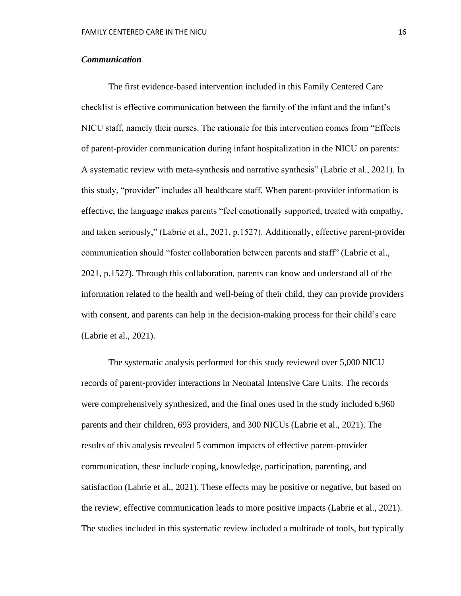# *Communication*

The first evidence-based intervention included in this Family Centered Care checklist is effective communication between the family of the infant and the infant's NICU staff, namely their nurses. The rationale for this intervention comes from "Effects of parent-provider communication during infant hospitalization in the NICU on parents: A systematic review with meta-synthesis and narrative synthesis" (Labrie et al., 2021). In this study, "provider" includes all healthcare staff. When parent-provider information is effective, the language makes parents "feel emotionally supported, treated with empathy, and taken seriously," (Labrie et al., 2021, p.1527). Additionally, effective parent-provider communication should "foster collaboration between parents and staff" (Labrie et al., 2021, p.1527). Through this collaboration, parents can know and understand all of the information related to the health and well-being of their child, they can provide providers with consent, and parents can help in the decision-making process for their child's care (Labrie et al., 2021).

The systematic analysis performed for this study reviewed over 5,000 NICU records of parent-provider interactions in Neonatal Intensive Care Units. The records were comprehensively synthesized, and the final ones used in the study included 6,960 parents and their children, 693 providers, and 300 NICUs (Labrie et al., 2021). The results of this analysis revealed 5 common impacts of effective parent-provider communication, these include coping, knowledge, participation, parenting, and satisfaction (Labrie et al., 2021). These effects may be positive or negative, but based on the review, effective communication leads to more positive impacts (Labrie et al., 2021). The studies included in this systematic review included a multitude of tools, but typically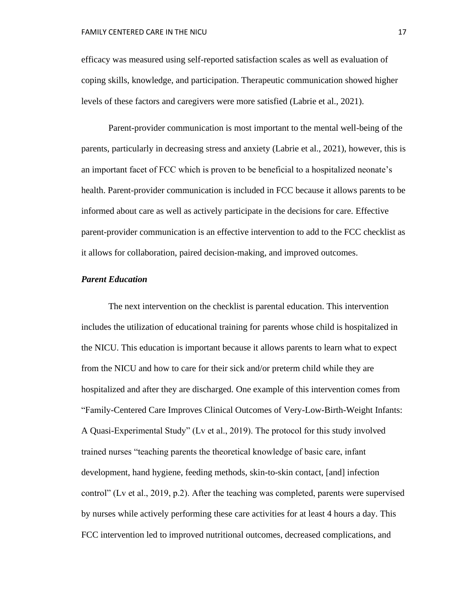efficacy was measured using self-reported satisfaction scales as well as evaluation of coping skills, knowledge, and participation. Therapeutic communication showed higher levels of these factors and caregivers were more satisfied (Labrie et al., 2021).

Parent-provider communication is most important to the mental well-being of the parents, particularly in decreasing stress and anxiety (Labrie et al., 2021), however, this is an important facet of FCC which is proven to be beneficial to a hospitalized neonate's health. Parent-provider communication is included in FCC because it allows parents to be informed about care as well as actively participate in the decisions for care. Effective parent-provider communication is an effective intervention to add to the FCC checklist as it allows for collaboration, paired decision-making, and improved outcomes.

## *Parent Education*

The next intervention on the checklist is parental education. This intervention includes the utilization of educational training for parents whose child is hospitalized in the NICU. This education is important because it allows parents to learn what to expect from the NICU and how to care for their sick and/or preterm child while they are hospitalized and after they are discharged. One example of this intervention comes from "Family-Centered Care Improves Clinical Outcomes of Very-Low-Birth-Weight Infants: A Quasi-Experimental Study" (Lv et al., 2019). The protocol for this study involved trained nurses "teaching parents the theoretical knowledge of basic care, infant development, hand hygiene, feeding methods, skin-to-skin contact, [and] infection control" (Lv et al., 2019, p.2). After the teaching was completed, parents were supervised by nurses while actively performing these care activities for at least 4 hours a day. This FCC intervention led to improved nutritional outcomes, decreased complications, and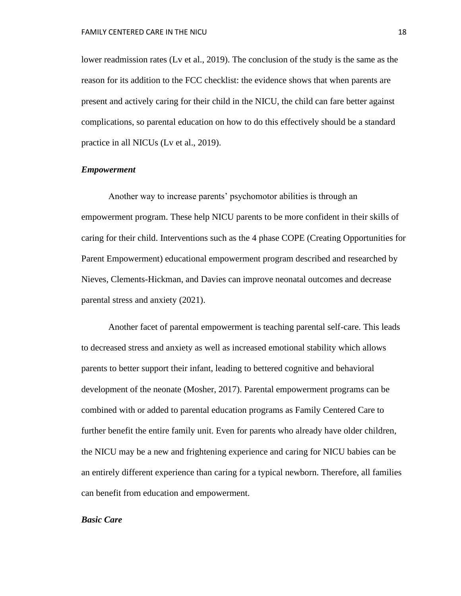lower readmission rates (Lv et al., 2019). The conclusion of the study is the same as the reason for its addition to the FCC checklist: the evidence shows that when parents are present and actively caring for their child in the NICU, the child can fare better against complications, so parental education on how to do this effectively should be a standard practice in all NICUs (Lv et al., 2019).

#### *Empowerment*

Another way to increase parents' psychomotor abilities is through an empowerment program. These help NICU parents to be more confident in their skills of caring for their child. Interventions such as the 4 phase COPE (Creating Opportunities for Parent Empowerment) educational empowerment program described and researched by Nieves, Clements-Hickman, and Davies can improve neonatal outcomes and decrease parental stress and anxiety (2021).

Another facet of parental empowerment is teaching parental self-care. This leads to decreased stress and anxiety as well as increased emotional stability which allows parents to better support their infant, leading to bettered cognitive and behavioral development of the neonate (Mosher, 2017). Parental empowerment programs can be combined with or added to parental education programs as Family Centered Care to further benefit the entire family unit. Even for parents who already have older children, the NICU may be a new and frightening experience and caring for NICU babies can be an entirely different experience than caring for a typical newborn. Therefore, all families can benefit from education and empowerment.

### *Basic Care*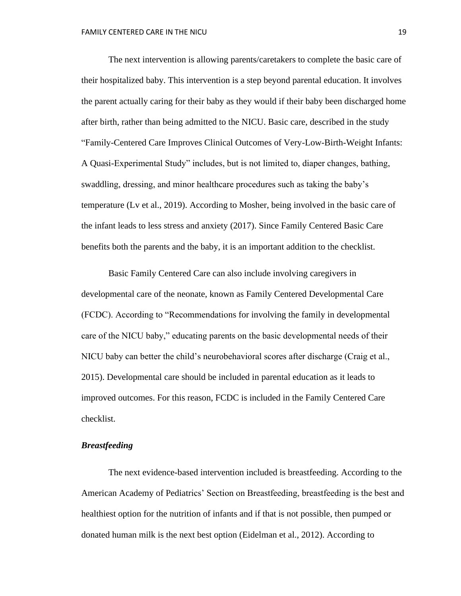The next intervention is allowing parents/caretakers to complete the basic care of their hospitalized baby. This intervention is a step beyond parental education. It involves the parent actually caring for their baby as they would if their baby been discharged home after birth, rather than being admitted to the NICU. Basic care, described in the study "Family-Centered Care Improves Clinical Outcomes of Very-Low-Birth-Weight Infants: A Quasi-Experimental Study" includes, but is not limited to, diaper changes, bathing, swaddling, dressing, and minor healthcare procedures such as taking the baby's temperature (Lv et al., 2019). According to Mosher, being involved in the basic care of the infant leads to less stress and anxiety (2017). Since Family Centered Basic Care benefits both the parents and the baby, it is an important addition to the checklist.

Basic Family Centered Care can also include involving caregivers in developmental care of the neonate, known as Family Centered Developmental Care (FCDC). According to "Recommendations for involving the family in developmental care of the NICU baby," educating parents on the basic developmental needs of their NICU baby can better the child's neurobehavioral scores after discharge (Craig et al., 2015). Developmental care should be included in parental education as it leads to improved outcomes. For this reason, FCDC is included in the Family Centered Care checklist.

# *Breastfeeding*

The next evidence-based intervention included is breastfeeding. According to the American Academy of Pediatrics' Section on Breastfeeding, breastfeeding is the best and healthiest option for the nutrition of infants and if that is not possible, then pumped or donated human milk is the next best option (Eidelman et al., 2012). According to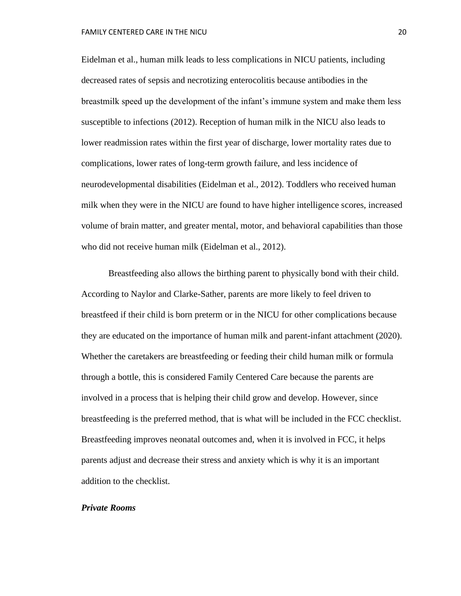Eidelman et al., human milk leads to less complications in NICU patients, including decreased rates of sepsis and necrotizing enterocolitis because antibodies in the breastmilk speed up the development of the infant's immune system and make them less susceptible to infections (2012). Reception of human milk in the NICU also leads to lower readmission rates within the first year of discharge, lower mortality rates due to complications, lower rates of long-term growth failure, and less incidence of neurodevelopmental disabilities (Eidelman et al., 2012). Toddlers who received human milk when they were in the NICU are found to have higher intelligence scores, increased volume of brain matter, and greater mental, motor, and behavioral capabilities than those who did not receive human milk (Eidelman et al., 2012).

Breastfeeding also allows the birthing parent to physically bond with their child. According to Naylor and Clarke-Sather, parents are more likely to feel driven to breastfeed if their child is born preterm or in the NICU for other complications because they are educated on the importance of human milk and parent-infant attachment (2020). Whether the caretakers are breastfeeding or feeding their child human milk or formula through a bottle, this is considered Family Centered Care because the parents are involved in a process that is helping their child grow and develop. However, since breastfeeding is the preferred method, that is what will be included in the FCC checklist. Breastfeeding improves neonatal outcomes and, when it is involved in FCC, it helps parents adjust and decrease their stress and anxiety which is why it is an important addition to the checklist.

#### *Private Rooms*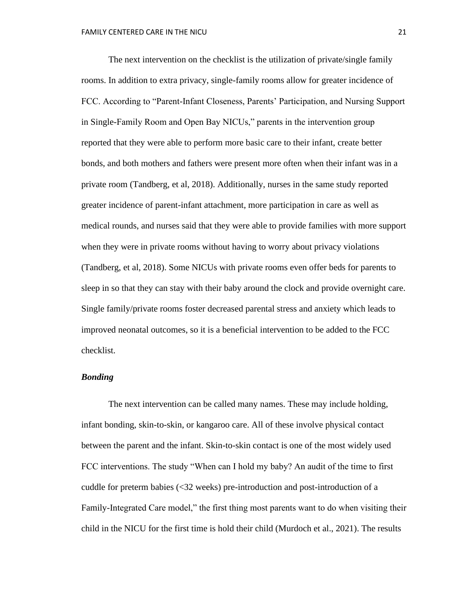The next intervention on the checklist is the utilization of private/single family rooms. In addition to extra privacy, single-family rooms allow for greater incidence of FCC. According to "Parent-Infant Closeness, Parents' Participation, and Nursing Support in Single-Family Room and Open Bay NICUs," parents in the intervention group reported that they were able to perform more basic care to their infant, create better bonds, and both mothers and fathers were present more often when their infant was in a private room (Tandberg, et al, 2018). Additionally, nurses in the same study reported greater incidence of parent-infant attachment, more participation in care as well as medical rounds, and nurses said that they were able to provide families with more support when they were in private rooms without having to worry about privacy violations (Tandberg, et al, 2018). Some NICUs with private rooms even offer beds for parents to sleep in so that they can stay with their baby around the clock and provide overnight care. Single family/private rooms foster decreased parental stress and anxiety which leads to improved neonatal outcomes, so it is a beneficial intervention to be added to the FCC checklist.

## *Bonding*

The next intervention can be called many names. These may include holding, infant bonding, skin-to-skin, or kangaroo care. All of these involve physical contact between the parent and the infant. Skin-to-skin contact is one of the most widely used FCC interventions. The study "When can I hold my baby? An audit of the time to first cuddle for preterm babies (<32 weeks) pre-introduction and post-introduction of a Family-Integrated Care model," the first thing most parents want to do when visiting their child in the NICU for the first time is hold their child (Murdoch et al., 2021). The results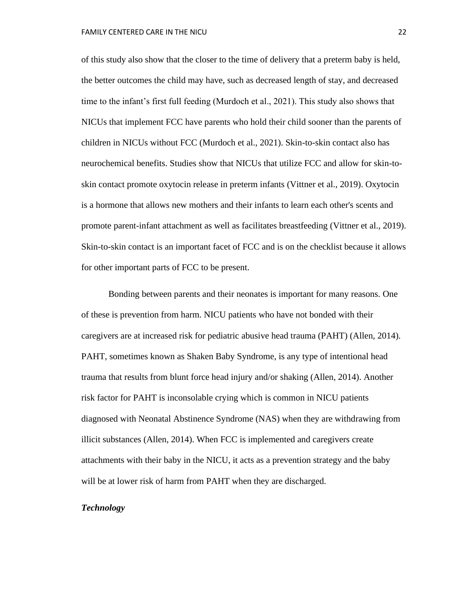of this study also show that the closer to the time of delivery that a preterm baby is held, the better outcomes the child may have, such as decreased length of stay, and decreased time to the infant's first full feeding (Murdoch et al., 2021). This study also shows that NICUs that implement FCC have parents who hold their child sooner than the parents of children in NICUs without FCC (Murdoch et al., 2021). Skin-to-skin contact also has neurochemical benefits. Studies show that NICUs that utilize FCC and allow for skin-toskin contact promote oxytocin release in preterm infants (Vittner et al., 2019). Oxytocin is a hormone that allows new mothers and their infants to learn each other's scents and promote parent-infant attachment as well as facilitates breastfeeding (Vittner et al., 2019). Skin-to-skin contact is an important facet of FCC and is on the checklist because it allows for other important parts of FCC to be present.

Bonding between parents and their neonates is important for many reasons. One of these is prevention from harm. NICU patients who have not bonded with their caregivers are at increased risk for pediatric abusive head trauma (PAHT) (Allen, 2014). PAHT, sometimes known as Shaken Baby Syndrome, is any type of intentional head trauma that results from blunt force head injury and/or shaking (Allen, 2014). Another risk factor for PAHT is inconsolable crying which is common in NICU patients diagnosed with Neonatal Abstinence Syndrome (NAS) when they are withdrawing from illicit substances (Allen, 2014). When FCC is implemented and caregivers create attachments with their baby in the NICU, it acts as a prevention strategy and the baby will be at lower risk of harm from PAHT when they are discharged.

## *Technology*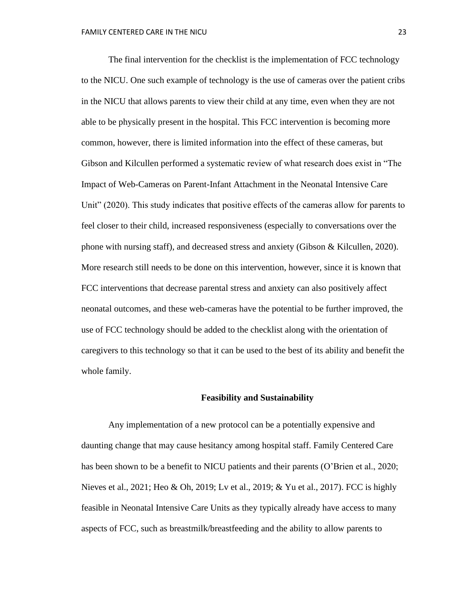The final intervention for the checklist is the implementation of FCC technology to the NICU. One such example of technology is the use of cameras over the patient cribs in the NICU that allows parents to view their child at any time, even when they are not able to be physically present in the hospital. This FCC intervention is becoming more common, however, there is limited information into the effect of these cameras, but Gibson and Kilcullen performed a systematic review of what research does exist in "The Impact of Web-Cameras on Parent-Infant Attachment in the Neonatal Intensive Care Unit" (2020). This study indicates that positive effects of the cameras allow for parents to feel closer to their child, increased responsiveness (especially to conversations over the phone with nursing staff), and decreased stress and anxiety (Gibson & Kilcullen, 2020). More research still needs to be done on this intervention, however, since it is known that FCC interventions that decrease parental stress and anxiety can also positively affect neonatal outcomes, and these web-cameras have the potential to be further improved, the use of FCC technology should be added to the checklist along with the orientation of caregivers to this technology so that it can be used to the best of its ability and benefit the whole family.

#### **Feasibility and Sustainability**

Any implementation of a new protocol can be a potentially expensive and daunting change that may cause hesitancy among hospital staff. Family Centered Care has been shown to be a benefit to NICU patients and their parents (O'Brien et al., 2020; Nieves et al., 2021; Heo & Oh, 2019; Lv et al., 2019; & Yu et al., 2017). FCC is highly feasible in Neonatal Intensive Care Units as they typically already have access to many aspects of FCC, such as breastmilk/breastfeeding and the ability to allow parents to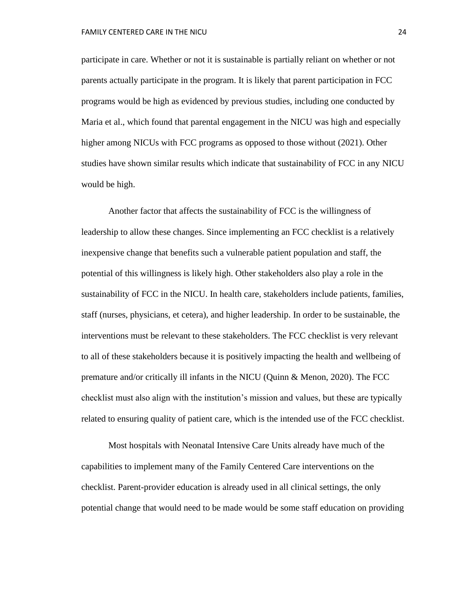participate in care. Whether or not it is sustainable is partially reliant on whether or not parents actually participate in the program. It is likely that parent participation in FCC programs would be high as evidenced by previous studies, including one conducted by Maria et al., which found that parental engagement in the NICU was high and especially higher among NICUs with FCC programs as opposed to those without (2021). Other studies have shown similar results which indicate that sustainability of FCC in any NICU would be high.

Another factor that affects the sustainability of FCC is the willingness of leadership to allow these changes. Since implementing an FCC checklist is a relatively inexpensive change that benefits such a vulnerable patient population and staff, the potential of this willingness is likely high. Other stakeholders also play a role in the sustainability of FCC in the NICU. In health care, stakeholders include patients, families, staff (nurses, physicians, et cetera), and higher leadership. In order to be sustainable, the interventions must be relevant to these stakeholders. The FCC checklist is very relevant to all of these stakeholders because it is positively impacting the health and wellbeing of premature and/or critically ill infants in the NICU (Quinn & Menon, 2020). The FCC checklist must also align with the institution's mission and values, but these are typically related to ensuring quality of patient care, which is the intended use of the FCC checklist.

Most hospitals with Neonatal Intensive Care Units already have much of the capabilities to implement many of the Family Centered Care interventions on the checklist. Parent-provider education is already used in all clinical settings, the only potential change that would need to be made would be some staff education on providing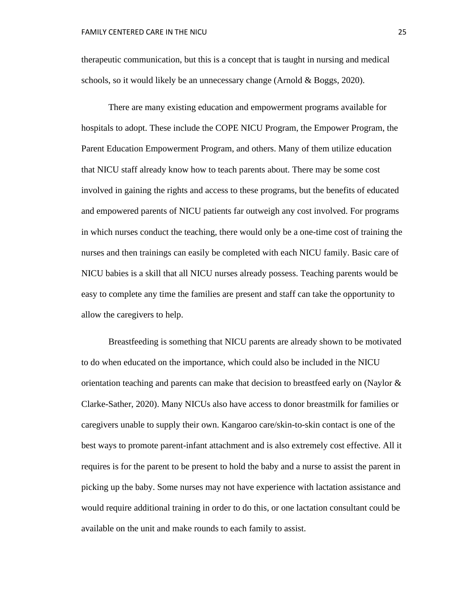therapeutic communication, but this is a concept that is taught in nursing and medical schools, so it would likely be an unnecessary change (Arnold & Boggs, 2020).

There are many existing education and empowerment programs available for hospitals to adopt. These include the COPE NICU Program, the Empower Program, the Parent Education Empowerment Program, and others. Many of them utilize education that NICU staff already know how to teach parents about. There may be some cost involved in gaining the rights and access to these programs, but the benefits of educated and empowered parents of NICU patients far outweigh any cost involved. For programs in which nurses conduct the teaching, there would only be a one-time cost of training the nurses and then trainings can easily be completed with each NICU family. Basic care of NICU babies is a skill that all NICU nurses already possess. Teaching parents would be easy to complete any time the families are present and staff can take the opportunity to allow the caregivers to help.

Breastfeeding is something that NICU parents are already shown to be motivated to do when educated on the importance, which could also be included in the NICU orientation teaching and parents can make that decision to breastfeed early on (Naylor & Clarke-Sather, 2020). Many NICUs also have access to donor breastmilk for families or caregivers unable to supply their own. Kangaroo care/skin-to-skin contact is one of the best ways to promote parent-infant attachment and is also extremely cost effective. All it requires is for the parent to be present to hold the baby and a nurse to assist the parent in picking up the baby. Some nurses may not have experience with lactation assistance and would require additional training in order to do this, or one lactation consultant could be available on the unit and make rounds to each family to assist.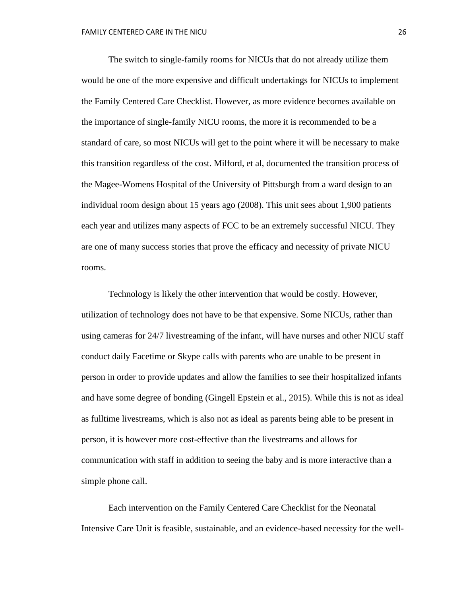The switch to single-family rooms for NICUs that do not already utilize them would be one of the more expensive and difficult undertakings for NICUs to implement the Family Centered Care Checklist. However, as more evidence becomes available on the importance of single-family NICU rooms, the more it is recommended to be a standard of care, so most NICUs will get to the point where it will be necessary to make this transition regardless of the cost. Milford, et al, documented the transition process of the Magee-Womens Hospital of the University of Pittsburgh from a ward design to an individual room design about 15 years ago (2008). This unit sees about 1,900 patients each year and utilizes many aspects of FCC to be an extremely successful NICU. They are one of many success stories that prove the efficacy and necessity of private NICU rooms.

Technology is likely the other intervention that would be costly. However, utilization of technology does not have to be that expensive. Some NICUs, rather than using cameras for 24/7 livestreaming of the infant, will have nurses and other NICU staff conduct daily Facetime or Skype calls with parents who are unable to be present in person in order to provide updates and allow the families to see their hospitalized infants and have some degree of bonding (Gingell Epstein et al., 2015). While this is not as ideal as fulltime livestreams, which is also not as ideal as parents being able to be present in person, it is however more cost-effective than the livestreams and allows for communication with staff in addition to seeing the baby and is more interactive than a simple phone call.

Each intervention on the Family Centered Care Checklist for the Neonatal Intensive Care Unit is feasible, sustainable, and an evidence-based necessity for the well-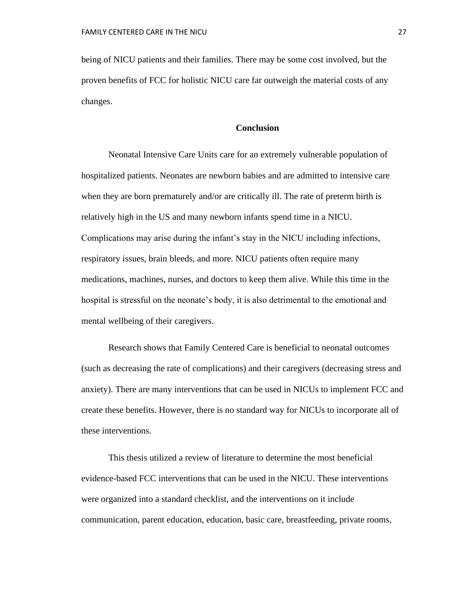being of NICU patients and their families. There may be some cost involved, but the proven benefits of FCC for holistic NICU care far outweigh the material costs of any changes.

#### **Conclusion**

Neonatal Intensive Care Units care for an extremely vulnerable population of hospitalized patients. Neonates are newborn babies and are admitted to intensive care when they are born prematurely and/or are critically ill. The rate of preterm birth is relatively high in the US and many newborn infants spend time in a NICU. Complications may arise during the infant's stay in the NICU including infections, respiratory issues, brain bleeds, and more. NICU patients often require many medications, machines, nurses, and doctors to keep them alive. While this time in the hospital is stressful on the neonate's body, it is also detrimental to the emotional and mental wellbeing of their caregivers.

Research shows that Family Centered Care is beneficial to neonatal outcomes (such as decreasing the rate of complications) and their caregivers (decreasing stress and anxiety). There are many interventions that can be used in NICUs to implement FCC and create these benefits. However, there is no standard way for NICUs to incorporate all of these interventions.

This thesis utilized a review of literature to determine the most beneficial evidence-based FCC interventions that can be used in the NICU. These interventions were organized into a standard checklist, and the interventions on it include communication, parent education, education, basic care, breastfeeding, private rooms,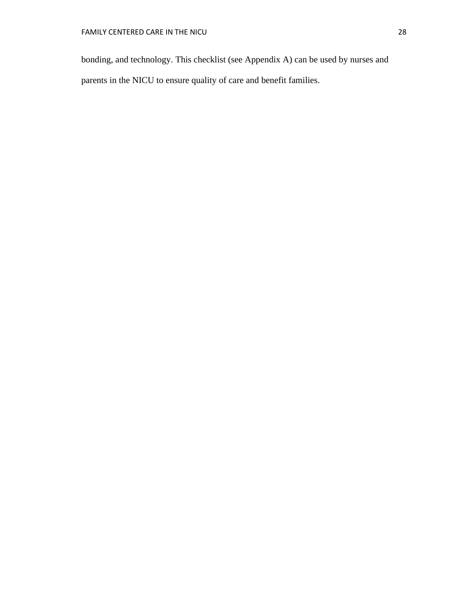bonding, and technology. This checklist (see Appendix A) can be used by nurses and parents in the NICU to ensure quality of care and benefit families.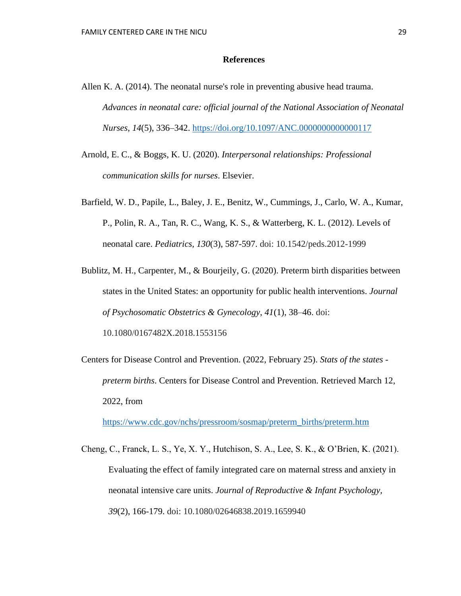### **References**

- Allen K. A. (2014). The neonatal nurse's role in preventing abusive head trauma. *Advances in neonatal care: official journal of the National Association of Neonatal Nurses*, *14*(5), 336–342.<https://doi.org/10.1097/ANC.0000000000000117>
- Arnold, E. C., & Boggs, K. U. (2020). *Interpersonal relationships: Professional communication skills for nurses*. Elsevier.
- Barfield, W. D., Papile, L., Baley, J. E., Benitz, W., Cummings, J., Carlo, W. A., Kumar, P., Polin, R. A., Tan, R. C., Wang, K. S., & Watterberg, K. L. (2012). Levels of neonatal care. *Pediatrics, 130*(3), 587-597. doi: 10.1542/peds.2012-1999
- Bublitz, M. H., Carpenter, M., & Bourjeily, G. (2020). Preterm birth disparities between states in the United States: an opportunity for public health interventions. *Journal of Psychosomatic Obstetrics & Gynecology*, *41*(1), 38–46. doi: 10.1080/0167482X.2018.1553156
- Centers for Disease Control and Prevention. (2022, February 25). *Stats of the states preterm births*. Centers for Disease Control and Prevention. Retrieved March 12, 2022, from

[https://www.cdc.gov/nchs/pressroom/sosmap/preterm\\_births/preterm.htm](https://www.cdc.gov/nchs/pressroom/sosmap/preterm_births/preterm.htm)

Cheng, C., Franck, L. S., Ye, X. Y., Hutchison, S. A., Lee, S. K., & O'Brien, K. (2021). Evaluating the effect of family integrated care on maternal stress and anxiety in neonatal intensive care units. *Journal of Reproductive & Infant Psychology, 39*(2), 166-179. doi: 10.1080/02646838.2019.1659940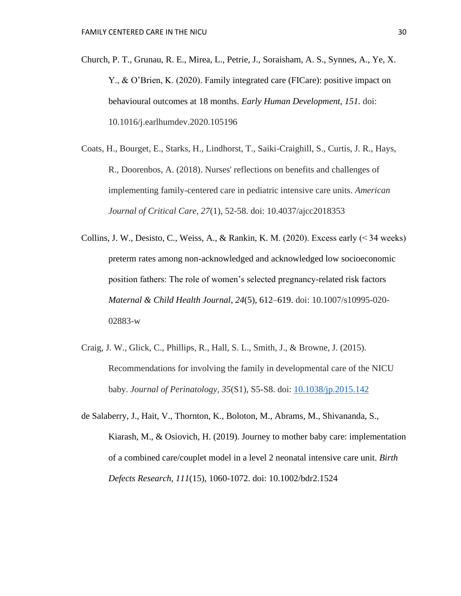- Church, P. T., Grunau, R. E., Mirea, L., Petrie, J., Soraisham, A. S., Synnes, A., Ye, X. Y., & O'Brien, K. (2020). Family integrated care (FICare): positive impact on behavioural outcomes at 18 months. *Early Human Development, 151.* doi: 10.1016/j.earlhumdev.2020.105196
- Coats, H., Bourget, E., Starks, H., Lindhorst, T., Saiki-Craighill, S., Curtis, J. R., Hays, R., Doorenbos, A. (2018). Nurses' reflections on benefits and challenges of implementing family-centered care in pediatric intensive care units. *American Journal of Critical Care, 27*(1), 52-58. doi: 10.4037/ajcc2018353
- Collins, J. W., Desisto, C., Weiss, A., & Rankin, K. M. (2020). Excess early  $($  < 34 weeks) preterm rates among non-acknowledged and acknowledged low socioeconomic position fathers: The role of women's selected pregnancy-related risk factors *Maternal & Child Health Journal*, *24*(5), 612–619. doi: 10.1007/s10995-020- 02883-w
- Craig, J. W., Glick, C., Phillips, R., Hall, S. L., Smith, J., & Browne, J. (2015). Recommendations for involving the family in developmental care of the NICU baby. *Journal of Perinatology, 35*(S1), S5-S8. doi: [10.1038/jp.2015.142](https://dx.doi.org/10.1038%2Fjp.2015.142)
- de Salaberry, J., Hait, V., Thornton, K., Boloton, M., Abrams, M., Shivananda, S., Kiarash, M., & Osiovich, H. (2019). Journey to mother baby care: implementation of a combined care/couplet model in a level 2 neonatal intensive care unit. *Birth Defects Research, 111*(15), 1060-1072. doi: 10.1002/bdr2.1524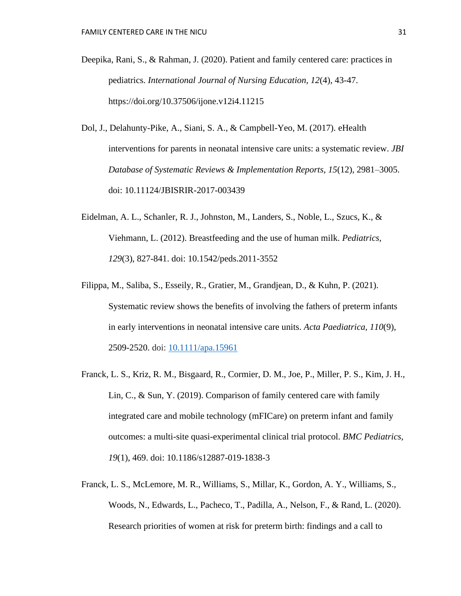- Deepika, Rani, S., & Rahman, J. (2020). Patient and family centered care: practices in pediatrics. *International Journal of Nursing Education, 12*(4), 43-47. https://doi.org/10.37506/ijone.v12i4.11215
- Dol, J., Delahunty-Pike, A., Siani, S. A., & Campbell-Yeo, M. (2017). eHealth interventions for parents in neonatal intensive care units: a systematic review. *JBI Database of Systematic Reviews & Implementation Reports*, *15*(12), 2981–3005. doi: 10.11124/JBISRIR-2017-003439
- Eidelman, A. L., Schanler, R. J., Johnston, M., Landers, S., Noble, L., Szucs, K., & Viehmann, L. (2012). Breastfeeding and the use of human milk. *Pediatrics, 129*(3), 827-841. doi: 10.1542/peds.2011-3552
- Filippa, M., Saliba, S., Esseily, R., Gratier, M., Grandjean, D., & Kuhn, P. (2021). Systematic review shows the benefits of involving the fathers of preterm infants in early interventions in neonatal intensive care units. *Acta Paediatrica, 110*(9), 2509-2520. doi: [10.1111/apa.15961](https://dx.doi.org/10.1111%2Fapa.15961)
- Franck, L. S., Kriz, R. M., Bisgaard, R., Cormier, D. M., Joe, P., Miller, P. S., Kim, J. H., Lin, C., & Sun, Y. (2019). Comparison of family centered care with family integrated care and mobile technology (mFICare) on preterm infant and family outcomes: a multi-site quasi-experimental clinical trial protocol. *BMC Pediatrics, 19*(1), 469. doi: 10.1186/s12887-019-1838-3
- Franck, L. S., McLemore, M. R., Williams, S., Millar, K., Gordon, A. Y., Williams, S., Woods, N., Edwards, L., Pacheco, T., Padilla, A., Nelson, F., & Rand, L. (2020). Research priorities of women at risk for preterm birth: findings and a call to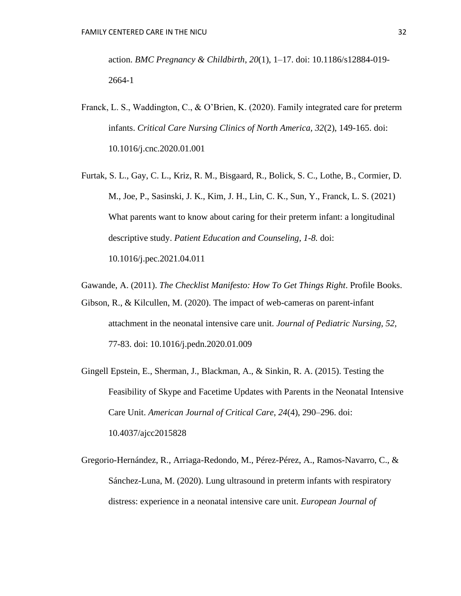action. *BMC Pregnancy & Childbirth*, *20*(1), 1–17. doi: 10.1186/s12884-019- 2664-1

- Franck, L. S., Waddington, C., & O'Brien, K. (2020). Family integrated care for preterm infants. *Critical Care Nursing Clinics of North America, 32*(2), 149-165. doi: 10.1016/j.cnc.2020.01.001
- Furtak, S. L., Gay, C. L., Kriz, R. M., Bisgaard, R., Bolick, S. C., Lothe, B., Cormier, D. M., Joe, P., Sasinski, J. K., Kim, J. H., Lin, C. K., Sun, Y., Franck, L. S. (2021) What parents want to know about caring for their preterm infant: a longitudinal descriptive study. *Patient Education and Counseling, 1-8.* doi: 10.1016/j.pec.2021.04.011
- Gawande, A. (2011). *The Checklist Manifesto: How To Get Things Right*. Profile Books.
- Gibson, R., & Kilcullen, M. (2020). The impact of web-cameras on parent-infant attachment in the neonatal intensive care unit. *Journal of Pediatric Nursing, 52,*  77-83. doi: 10.1016/j.pedn.2020.01.009
- Gingell Epstein, E., Sherman, J., Blackman, A., & Sinkin, R. A. (2015). Testing the Feasibility of Skype and Facetime Updates with Parents in the Neonatal Intensive Care Unit. *American Journal of Critical Care*, *24*(4), 290–296. doi: 10.4037/ajcc2015828
- Gregorio-Hernández, R., Arriaga-Redondo, M., Pérez-Pérez, A., Ramos-Navarro, C., & Sánchez-Luna, M. (2020). Lung ultrasound in preterm infants with respiratory distress: experience in a neonatal intensive care unit. *European Journal of*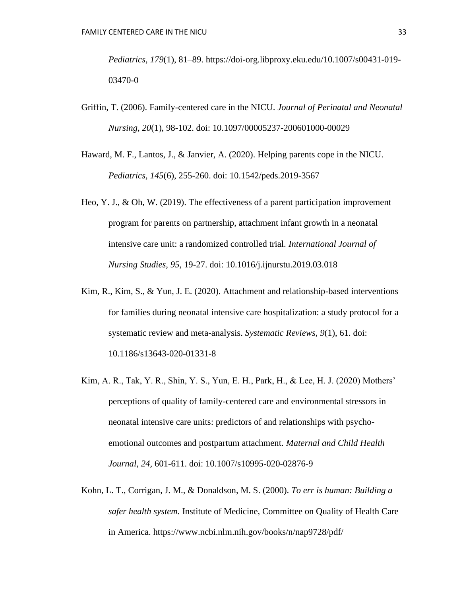*Pediatrics*, *179*(1), 81–89. https://doi-org.libproxy.eku.edu/10.1007/s00431-019- 03470-0

- Griffin, T. (2006). Family-centered care in the NICU. *Journal of Perinatal and Neonatal Nursing, 20*(1), 98-102. doi: 10.1097/00005237-200601000-00029
- Haward, M. F., Lantos, J., & Janvier, A. (2020). Helping parents cope in the NICU. *Pediatrics, 145*(6), 255-260. doi: 10.1542/peds.2019-3567
- Heo, Y. J., & Oh, W. (2019). The effectiveness of a parent participation improvement program for parents on partnership, attachment infant growth in a neonatal intensive care unit: a randomized controlled trial. *International Journal of Nursing Studies, 95,* 19-27. doi: 10.1016/j.ijnurstu.2019.03.018
- Kim, R., Kim, S., & Yun, J. E. (2020). Attachment and relationship-based interventions for families during neonatal intensive care hospitalization: a study protocol for a systematic review and meta-analysis. *Systematic Reviews, 9*(1), 61. doi: 10.1186/s13643-020-01331-8
- Kim, A. R., Tak, Y. R., Shin, Y. S., Yun, E. H., Park, H., & Lee, H. J. (2020) Mothers' perceptions of quality of family-centered care and environmental stressors in neonatal intensive care units: predictors of and relationships with psychoemotional outcomes and postpartum attachment. *Maternal and Child Health Journal, 24,* 601-611. doi: 10.1007/s10995-020-02876-9
- Kohn, L. T., Corrigan, J. M., & Donaldson, M. S. (2000). *To err is human: Building a safer health system.* Institute of Medicine, Committee on Quality of Health Care in America. https://www.ncbi.nlm.nih.gov/books/n/nap9728/pdf/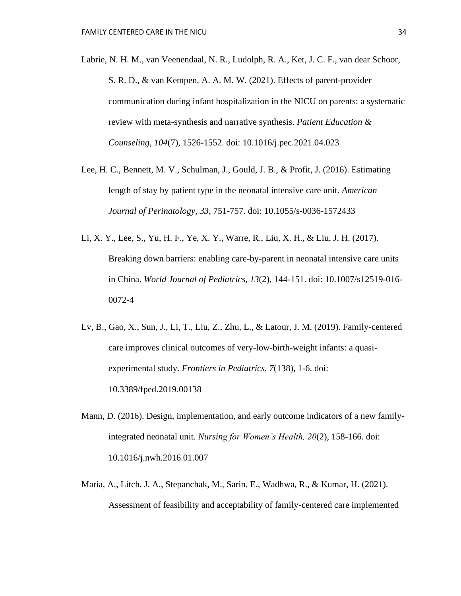- Labrie, N. H. M., van Veenendaal, N. R., Ludolph, R. A., Ket, J. C. F., van dear Schoor, S. R. D., & van Kempen, A. A. M. W. (2021). Effects of parent-provider communication during infant hospitalization in the NICU on parents: a systematic review with meta-synthesis and narrative synthesis. *Patient Education & Counseling, 104*(7), 1526-1552. doi: 10.1016/j.pec.2021.04.023
- Lee, H. C., Bennett, M. V., Schulman, J., Gould, J. B., & Profit, J. (2016). Estimating length of stay by patient type in the neonatal intensive care unit. *American Journal of Perinatology, 33,* 751-757. doi: 10.1055/s-0036-1572433
- Li, X. Y., Lee, S., Yu, H. F., Ye, X. Y., Warre, R., Liu, X. H., & Liu, J. H. (2017). Breaking down barriers: enabling care-by-parent in neonatal intensive care units in China. *World Journal of Pediatrics, 13*(2), 144-151. doi: 10.1007/s12519-016- 0072-4
- Lv, B., Gao, X., Sun, J., Li, T., Liu, Z., Zhu, L., & Latour, J. M. (2019). Family-centered care improves clinical outcomes of very-low-birth-weight infants: a quasiexperimental study. *Frontiers in Pediatrics, 7*(138), 1-6. doi: 10.3389/fped.2019.00138
- Mann, D. (2016). Design, implementation, and early outcome indicators of a new familyintegrated neonatal unit. *Nursing for Women's Health, 20*(2), 158-166. doi: 10.1016/j.nwh.2016.01.007
- Maria, A., Litch, J. A., Stepanchak, M., Sarin, E., Wadhwa, R., & Kumar, H. (2021). Assessment of feasibility and acceptability of family-centered care implemented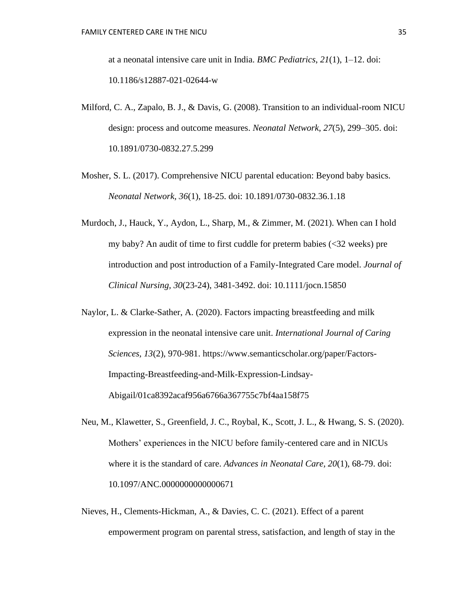at a neonatal intensive care unit in India. *BMC Pediatrics*, *21*(1), 1–12. doi: 10.1186/s12887-021-02644-w

- Milford, C. A., Zapalo, B. J., & Davis, G. (2008). Transition to an individual-room NICU design: process and outcome measures. *Neonatal Network*, *27*(5), 299–305. doi: 10.1891/0730-0832.27.5.299
- Mosher, S. L. (2017). Comprehensive NICU parental education: Beyond baby basics. *Neonatal Network, 36*(1), 18-25. doi: 10.1891/0730-0832.36.1.18
- Murdoch, J., Hauck, Y., Aydon, L., Sharp, M., & Zimmer, M. (2021). When can I hold my baby? An audit of time to first cuddle for preterm babies (<32 weeks) pre introduction and post introduction of a Family-Integrated Care model. *Journal of Clinical Nursing, 30*(23-24), 3481-3492. doi: 10.1111/jocn.15850
- Naylor, L. & Clarke-Sather, A. (2020). Factors impacting breastfeeding and milk expression in the neonatal intensive care unit. *International Journal of Caring Sciences, 13*(2), 970-981. https://www.semanticscholar.org/paper/Factors-Impacting-Breastfeeding-and-Milk-Expression-Lindsay-Abigail/01ca8392acaf956a6766a367755c7bf4aa158f75
- Neu, M., Klawetter, S., Greenfield, J. C., Roybal, K., Scott, J. L., & Hwang, S. S. (2020). Mothers' experiences in the NICU before family-centered care and in NICUs where it is the standard of care. *Advances in Neonatal Care, 20*(1), 68-79. doi: 10.1097/ANC.0000000000000671
- Nieves, H., Clements-Hickman, A., & Davies, C. C. (2021). Effect of a parent empowerment program on parental stress, satisfaction, and length of stay in the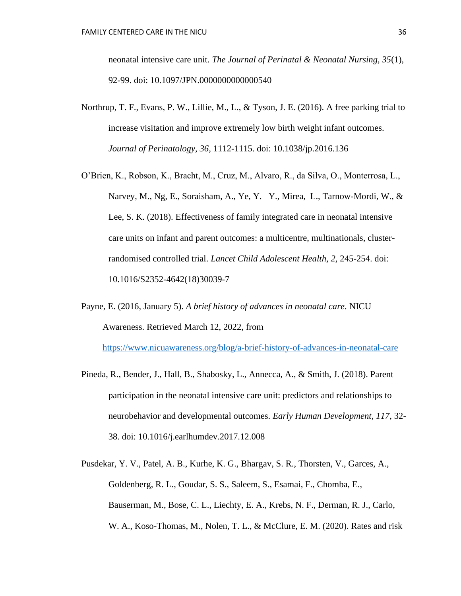neonatal intensive care unit. *The Journal of Perinatal & Neonatal Nursing, 35*(1), 92-99. doi: 10.1097/JPN.0000000000000540

- Northrup, T. F., Evans, P. W., Lillie, M., L., & Tyson, J. E. (2016). A free parking trial to increase visitation and improve extremely low birth weight infant outcomes. *Journal of Perinatology, 36,* 1112-1115. doi: 10.1038/jp.2016.136
- O'Brien, K., Robson, K., Bracht, M., Cruz, M., Alvaro, R., da Silva, O., Monterrosa, L., Narvey, M., Ng, E., Soraisham, A., Ye, Y. Y., Mirea, L., Tarnow-Mordi, W., & Lee, S. K. (2018). Effectiveness of family integrated care in neonatal intensive care units on infant and parent outcomes: a multicentre, multinationals, clusterrandomised controlled trial. *Lancet Child Adolescent Health, 2,* 245-254. doi: 10.1016/S2352-4642(18)30039-7
- Payne, E. (2016, January 5). *A brief history of advances in neonatal care*. NICU Awareness. Retrieved March 12, 2022, from

<https://www.nicuawareness.org/blog/a-brief-history-of-advances-in-neonatal-care>

- Pineda, R., Bender, J., Hall, B., Shabosky, L., Annecca, A., & Smith, J. (2018). Parent participation in the neonatal intensive care unit: predictors and relationships to neurobehavior and developmental outcomes. *Early Human Development, 117,* 32- 38. doi: 10.1016/j.earlhumdev.2017.12.008
- Pusdekar, Y. V., Patel, A. B., Kurhe, K. G., Bhargav, S. R., Thorsten, V., Garces, A., Goldenberg, R. L., Goudar, S. S., Saleem, S., Esamai, F., Chomba, E., Bauserman, M., Bose, C. L., Liechty, E. A., Krebs, N. F., Derman, R. J., Carlo, W. A., Koso-Thomas, M., Nolen, T. L., & McClure, E. M. (2020). Rates and risk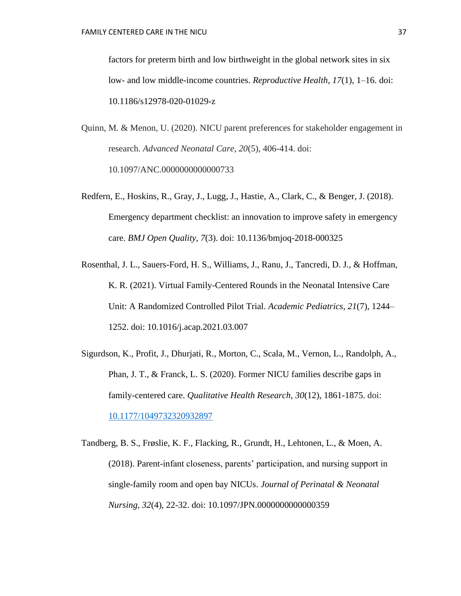factors for preterm birth and low birthweight in the global network sites in six low- and low middle-income countries. *Reproductive Health*, *17*(1), 1–16. doi: 10.1186/s12978-020-01029-z

- Quinn, M. & Menon, U. (2020). NICU parent preferences for stakeholder engagement in research. *Advanced Neonatal Care, 20*(5), 406-414. doi: 10.1097/ANC.0000000000000733
- Redfern, E., Hoskins, R., Gray, J., Lugg, J., Hastie, A., Clark, C., & Benger, J. (2018). Emergency department checklist: an innovation to improve safety in emergency care. *BMJ Open Quality, 7*(3). doi: 10.1136/bmjoq-2018-000325
- Rosenthal, J. L., Sauers-Ford, H. S., Williams, J., Ranu, J., Tancredi, D. J., & Hoffman, K. R. (2021). Virtual Family-Centered Rounds in the Neonatal Intensive Care Unit: A Randomized Controlled Pilot Trial. *Academic Pediatrics*, *21*(7), 1244– 1252. doi: 10.1016/j.acap.2021.03.007
- Sigurdson, K., Profit, J., Dhurjati, R., Morton, C., Scala, M., Vernon, L., Randolph, A., Phan, J. T., & Franck, L. S. (2020). Former NICU families describe gaps in family-centered care. *Qualitative Health Research, 30*(12), 1861-1875. doi: [10.1177/1049732320932897](https://dx.doi.org/10.1177%2F1049732320932897)
- Tandberg, B. S., Frøslie, K. F., Flacking, R., Grundt, H., Lehtonen, L., & Moen, A. (2018). Parent-infant closeness, parents' participation, and nursing support in single-family room and open bay NICUs. *Journal of Perinatal & Neonatal Nursing, 32*(4), 22-32. doi: 10.1097/JPN.0000000000000359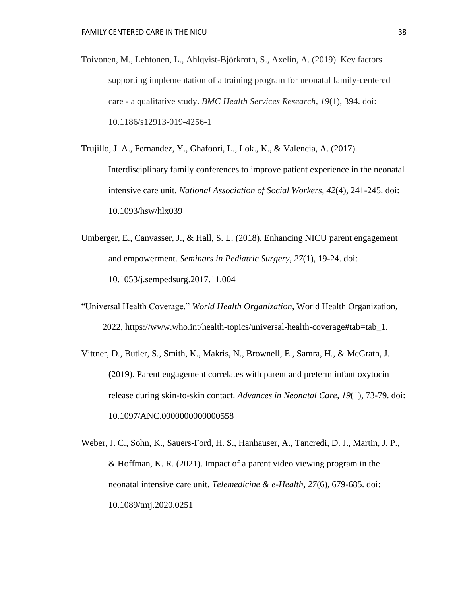- Toivonen, M., Lehtonen, L., Ahlqvist-Björkroth, S., Axelin, A. (2019). Key factors supporting implementation of a training program for neonatal family-centered care - a qualitative study. *BMC Health Services Research, 19*(1), 394. doi: 10.1186/s12913-019-4256-1
- Trujillo, J. A., Fernandez, Y., Ghafoori, L., Lok., K., & Valencia, A. (2017). Interdisciplinary family conferences to improve patient experience in the neonatal intensive care unit. *National Association of Social Workers, 42*(4), 241-245. doi: 10.1093/hsw/hlx039
- Umberger, E., Canvasser, J., & Hall, S. L. (2018). Enhancing NICU parent engagement and empowerment. *Seminars in Pediatric Surgery, 27*(1), 19-24. doi: 10.1053/j.sempedsurg.2017.11.004
- "Universal Health Coverage." *World Health Organization*, World Health Organization, 2022, https://www.who.int/health-topics/universal-health-coverage#tab=tab\_1.
- Vittner, D., Butler, S., Smith, K., Makris, N., Brownell, E., Samra, H., & McGrath, J. (2019). Parent engagement correlates with parent and preterm infant oxytocin release during skin-to-skin contact. *Advances in Neonatal Care, 19*(1), 73-79. doi: 10.1097/ANC.0000000000000558
- Weber, J. C., Sohn, K., Sauers-Ford, H. S., Hanhauser, A., Tancredi, D. J., Martin, J. P., & Hoffman, K. R. (2021). Impact of a parent video viewing program in the neonatal intensive care unit. *Telemedicine & e-Health, 27*(6), 679-685. doi: 10.1089/tmj.2020.0251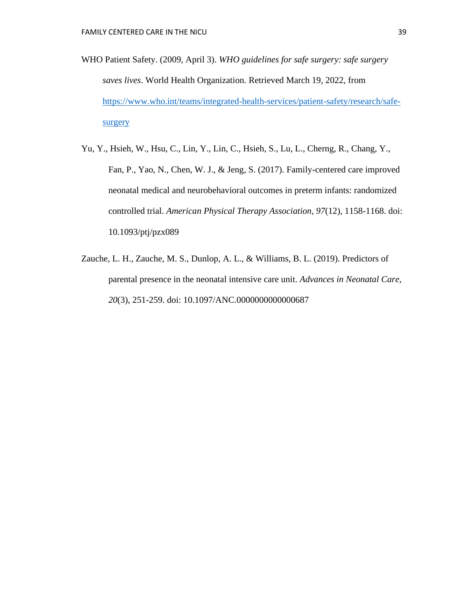- WHO Patient Safety. (2009, April 3). *WHO guidelines for safe surgery: safe surgery saves lives*. World Health Organization. Retrieved March 19, 2022, from [https://www.who.int/teams/integrated-health-services/patient-safety/research/safe](https://www.who.int/teams/integrated-health-services/patient-safety/research/safe-surgery)[surgery](https://www.who.int/teams/integrated-health-services/patient-safety/research/safe-surgery)
- Yu, Y., Hsieh, W., Hsu, C., Lin, Y., Lin, C., Hsieh, S., Lu, L., Cherng, R., Chang, Y., Fan, P., Yao, N., Chen, W. J., & Jeng, S. (2017). Family-centered care improved neonatal medical and neurobehavioral outcomes in preterm infants: randomized controlled trial. *American Physical Therapy Association, 97*(12), 1158-1168. doi: 10.1093/ptj/pzx089
- Zauche, L. H., Zauche, M. S., Dunlop, A. L., & Williams, B. L. (2019). Predictors of parental presence in the neonatal intensive care unit. *Advances in Neonatal Care, 20*(3), 251-259. doi: 10.1097/ANC.0000000000000687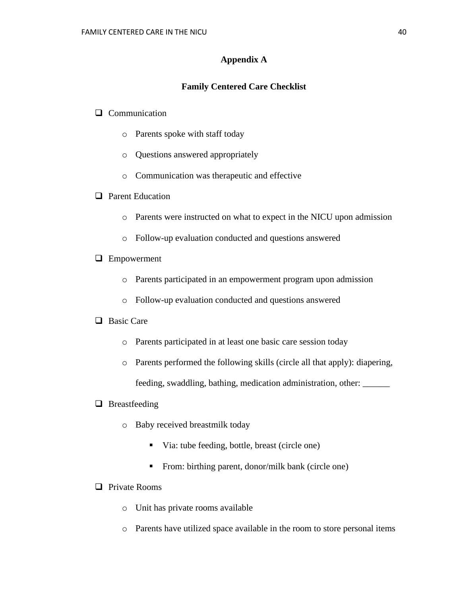# **Appendix A**

## **Family Centered Care Checklist**

# ❑ Communication

- o Parents spoke with staff today
- o Questions answered appropriately
- o Communication was therapeutic and effective
- ❑ Parent Education
	- o Parents were instructed on what to expect in the NICU upon admission
	- o Follow-up evaluation conducted and questions answered
- ❑ Empowerment
	- o Parents participated in an empowerment program upon admission
	- o Follow-up evaluation conducted and questions answered

# ❑ Basic Care

- o Parents participated in at least one basic care session today
- o Parents performed the following skills (circle all that apply): diapering, feeding, swaddling, bathing, medication administration, other: \_\_\_\_\_\_

#### ❑ Breastfeeding

- o Baby received breastmilk today
	- Via: tube feeding, bottle, breast (circle one)
	- From: birthing parent, donor/milk bank (circle one)
- ❑ Private Rooms
	- o Unit has private rooms available
	- o Parents have utilized space available in the room to store personal items